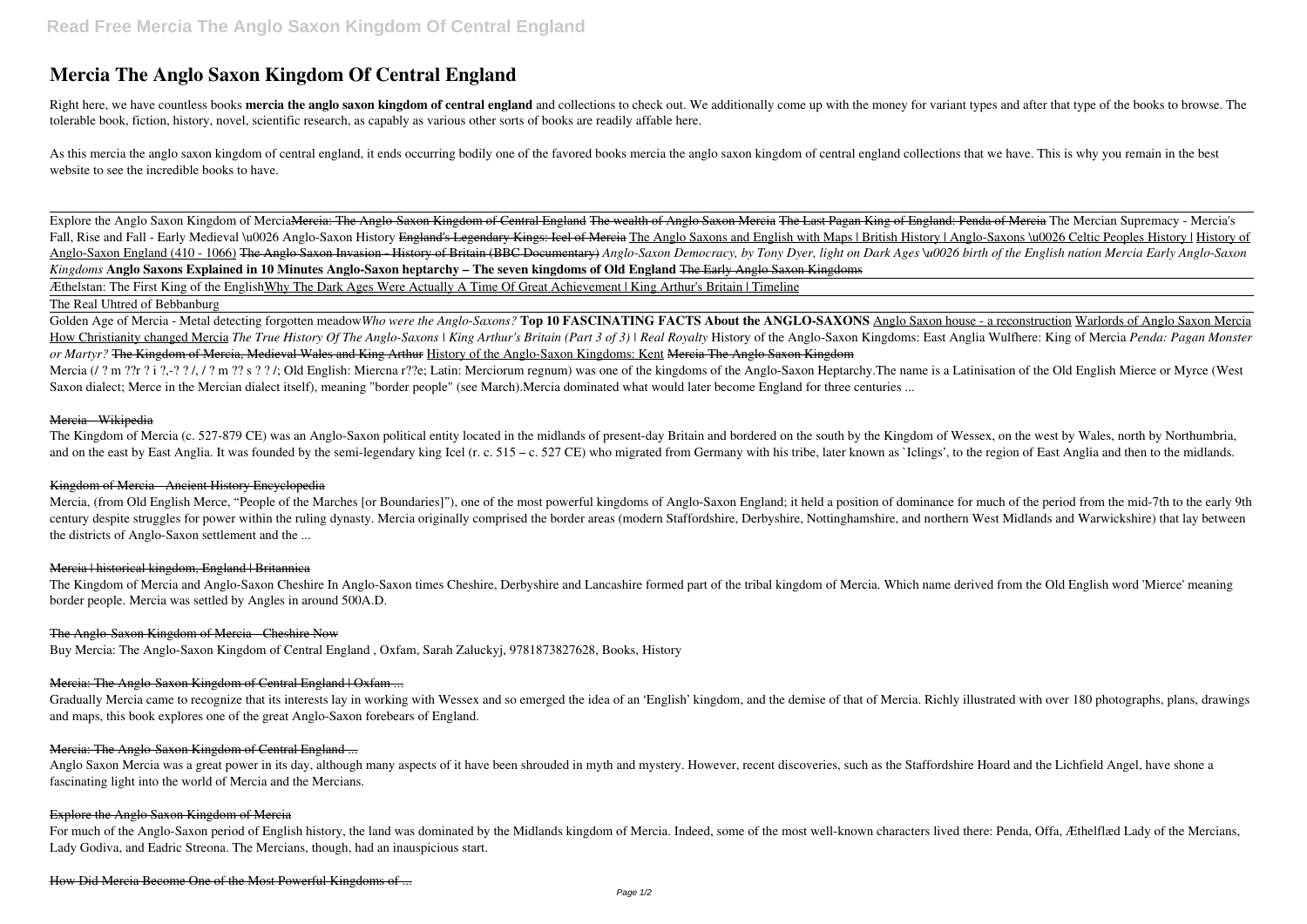# **Mercia The Anglo Saxon Kingdom Of Central England**

Right here, we have countless books mercia the anglo saxon kingdom of central england and collections to check out. We additionally come up with the money for variant types and after that type of the books to browse. The tolerable book, fiction, history, novel, scientific research, as capably as various other sorts of books are readily affable here.

As this mercia the anglo saxon kingdom of central england, it ends occurring bodily one of the favored books mercia the anglo saxon kingdom of central england collections that we have. This is why you remain in the best website to see the incredible books to have.

Explore the Anglo Saxon Kingdom of Mercia<del>Mercia: The Anglo-Saxon Kingdom of Central England The wealth of Anglo Saxon Mercia The Last Pagan King of England: Penda of Mercia The Mercian Supremacy - Mercia's</del> Fall, Rise and Fall - Early Medieval \u0026 Anglo-Saxon History England's Legendary Kings: Icel of Mercia The Anglo Saxons and English with Maps | British History | Anglo-Saxons \u0026 Celtic Peoples History | History of Anglo-Saxon England (410 - 1066) The Anglo Saxon Invasion - History of Britain (BBC Documentary) Anglo-Saxon Democracy, by Tony Dyer, light on Dark Ages \u0026 birth of the English nation Mercia Early Anglo-Saxon *Kingdoms* **Anglo Saxons Explained in 10 Minutes Anglo-Saxon heptarchy – The seven kingdoms of Old England** The Early Anglo Saxon Kingdoms

Golden Age of Mercia - Metal detecting forgotten meadow*Who were the Anglo-Saxons?* **Top 10 FASCINATING FACTS About the ANGLO-SAXONS** Anglo Saxon house - a reconstruction Warlords of Anglo Saxon Mercia How Christianity changed Mercia The True History Of The Anglo-Saxons | King Arthur's Britain (Part 3 of 3) | Real Royalty History of the Anglo-Saxon Kingdoms: East Anglia Wulfhere: King of Mercia Penda: Pagan Monster *or Martyr?* The Kingdom of Mercia, Medieval Wales and King Arthur History of the Anglo-Saxon Kingdoms: Kent Mercia The Anglo Saxon Kingdom Mercia (/ ? m ??r ? i ?,-? ? /, / ? m ?? s ? ? /; Old English: Miercna r??e; Latin: Merciorum regnum) was one of the kingdoms of the Anglo-Saxon Heptarchy. The name is a Latinisation of the Old English Mierce or Myrce (Wes Saxon dialect; Merce in the Mercian dialect itself), meaning "border people" (see March).Mercia dominated what would later become England for three centuries ...

Æthelstan: The First King of the EnglishWhy The Dark Ages Were Actually A Time Of Great Achievement | King Arthur's Britain | Timeline

## The Real Uhtred of Bebbanburg

Gradually Mercia came to recognize that its interests lay in working with Wessex and so emerged the idea of an 'English' kingdom, and the demise of that of Mercia. Richly illustrated with over 180 photographs, plans, drawi and maps, this book explores one of the great Anglo-Saxon forebears of England.

Anglo Saxon Mercia was a great power in its day, although many aspects of it have been shrouded in myth and mystery. However, recent discoveries, such as the Staffordshire Hoard and the Lichfield Angel, have shone a fascinating light into the world of Mercia and the Mercians.

For much of the Anglo-Saxon period of English history, the land was dominated by the Midlands kingdom of Mercia. Indeed, some of the most well-known characters lived there: Penda, Offa, Æthelflæd Lady of the Mercians, Lady Godiva, and Eadric Streona. The Mercians, though, had an inauspicious start.

### Mercia - Wikipedia

The Kingdom of Mercia (c. 527-879 CE) was an Anglo-Saxon political entity located in the midlands of present-day Britain and bordered on the south by the Kingdom of Wessex, on the west by Wales, north by Northumbria, and on the east by East Anglia. It was founded by the semi-legendary king Icel (r. c. 515 – c. 527 CE) who migrated from Germany with his tribe, later known as `Iclings', to the region of East Anglia and then to the midlan

# Kingdom of Mercia - Ancient History Encyclopedia

Mercia, (from Old English Merce, "People of the Marches [or Boundaries]"), one of the most powerful kingdoms of Anglo-Saxon England; it held a position of dominance for much of the period from the mid-7th to the early 9th century despite struggles for power within the ruling dynasty. Mercia originally comprised the border areas (modern Staffordshire, Derbyshire, Nottinghamshire, and northern West Midlands and Warwickshire) that lay between the districts of Anglo-Saxon settlement and the ...

### Mercia | historical kingdom, England | Britannica

The Kingdom of Mercia and Anglo-Saxon Cheshire In Anglo-Saxon times Cheshire, Derbyshire and Lancashire formed part of the tribal kingdom of Mercia. Which name derived from the Old English word 'Mierce' meaning border people. Mercia was settled by Angles in around 500A.D.

# The Anglo-Saxon Kingdom of Mercia - Cheshire Now

Buy Mercia: The Anglo-Saxon Kingdom of Central England , Oxfam, Sarah Zaluckyj, 9781873827628, Books, History

# Mercia: The Anglo-Saxon Kingdom of Central England | Oxfam ...

### Mercia: The Anglo-Saxon Kingdom of Central England ...

### Explore the Anglo Saxon Kingdom of Mercia

How Did Mercia Become One of the Most Powerful Kingdoms of ...